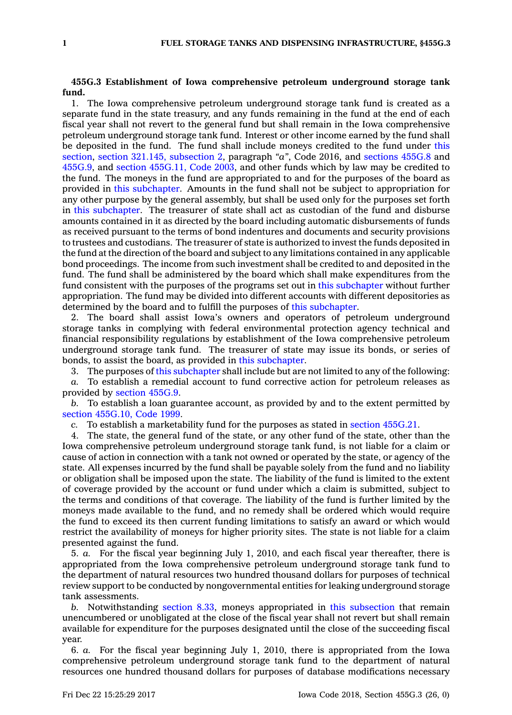## **455G.3 Establishment of Iowa comprehensive petroleum underground storage tank fund.**

1. The Iowa comprehensive petroleum underground storage tank fund is created as <sup>a</sup> separate fund in the state treasury, and any funds remaining in the fund at the end of each fiscal year shall not revert to the general fund but shall remain in the Iowa comprehensive petroleum underground storage tank fund. Interest or other income earned by the fund shall be deposited in the fund. The fund shall include moneys credited to the fund under [this](https://www.legis.iowa.gov/docs/code/455G.3.pdf) [section](https://www.legis.iowa.gov/docs/code/455G.3.pdf), section 321.145, [subsection](https://www.legis.iowa.gov/docs/code/2016/321.145.pdf) 2, paragraph *"a"*, Code 2016, and [sections](https://www.legis.iowa.gov/docs/code/455G.8.pdf) 455G.8 and [455G.9](https://www.legis.iowa.gov/docs/code/455G.9.pdf), and section [455G.11,](https://www.legis.iowa.gov/docs/code/2003/455G.11.pdf) Code 2003, and other funds which by law may be credited to the fund. The moneys in the fund are appropriated to and for the purposes of the board as provided in this [subchapter](https://www.legis.iowa.gov/docs/code//455G.pdf). Amounts in the fund shall not be subject to appropriation for any other purpose by the general assembly, but shall be used only for the purposes set forth in this [subchapter](https://www.legis.iowa.gov/docs/code//455G.pdf). The treasurer of state shall act as custodian of the fund and disburse amounts contained in it as directed by the board including automatic disbursements of funds as received pursuant to the terms of bond indentures and documents and security provisions to trustees and custodians. The treasurer of state is authorized to invest the funds deposited in the fund at the direction of the board and subject to any limitations contained in any applicable bond proceedings. The income from such investment shall be credited to and deposited in the fund. The fund shall be administered by the board which shall make expenditures from the fund consistent with the purposes of the programs set out in this [subchapter](https://www.legis.iowa.gov/docs/code//455G.pdf) without further appropriation. The fund may be divided into different accounts with different depositories as determined by the board and to fulfill the purposes of this [subchapter](https://www.legis.iowa.gov/docs/code//455G.pdf).

2. The board shall assist Iowa's owners and operators of petroleum underground storage tanks in complying with federal environmental protection agency technical and financial responsibility regulations by establishment of the Iowa comprehensive petroleum underground storage tank fund. The treasurer of state may issue its bonds, or series of bonds, to assist the board, as provided in this [subchapter](https://www.legis.iowa.gov/docs/code//455G.pdf).

3. The purposes of this [subchapter](https://www.legis.iowa.gov/docs/code//455G.pdf) shall include but are not limited to any of the following:

*a.* To establish <sup>a</sup> remedial account to fund corrective action for petroleum releases as provided by section [455G.9](https://www.legis.iowa.gov/docs/code/455G.9.pdf).

*b.* To establish <sup>a</sup> loan guarantee account, as provided by and to the extent permitted by section [455G.10,](https://www.legis.iowa.gov/docs/code/1999/455G.10.pdf) Code 1999.

*c.* To establish <sup>a</sup> marketability fund for the purposes as stated in section [455G.21](https://www.legis.iowa.gov/docs/code/455G.21.pdf).

4. The state, the general fund of the state, or any other fund of the state, other than the Iowa comprehensive petroleum underground storage tank fund, is not liable for <sup>a</sup> claim or cause of action in connection with <sup>a</sup> tank not owned or operated by the state, or agency of the state. All expenses incurred by the fund shall be payable solely from the fund and no liability or obligation shall be imposed upon the state. The liability of the fund is limited to the extent of coverage provided by the account or fund under which <sup>a</sup> claim is submitted, subject to the terms and conditions of that coverage. The liability of the fund is further limited by the moneys made available to the fund, and no remedy shall be ordered which would require the fund to exceed its then current funding limitations to satisfy an award or which would restrict the availability of moneys for higher priority sites. The state is not liable for <sup>a</sup> claim presented against the fund.

5. *a.* For the fiscal year beginning July 1, 2010, and each fiscal year thereafter, there is appropriated from the Iowa comprehensive petroleum underground storage tank fund to the department of natural resources two hundred thousand dollars for purposes of technical review support to be conducted by nongovernmental entities for leaking underground storage tank assessments.

*b.* Notwithstanding [section](https://www.legis.iowa.gov/docs/code/8.33.pdf) 8.33, moneys appropriated in this [subsection](https://www.legis.iowa.gov/docs/code/455G.3.pdf) that remain unencumbered or unobligated at the close of the fiscal year shall not revert but shall remain available for expenditure for the purposes designated until the close of the succeeding fiscal year.

6. *a.* For the fiscal year beginning July 1, 2010, there is appropriated from the Iowa comprehensive petroleum underground storage tank fund to the department of natural resources one hundred thousand dollars for purposes of database modifications necessary